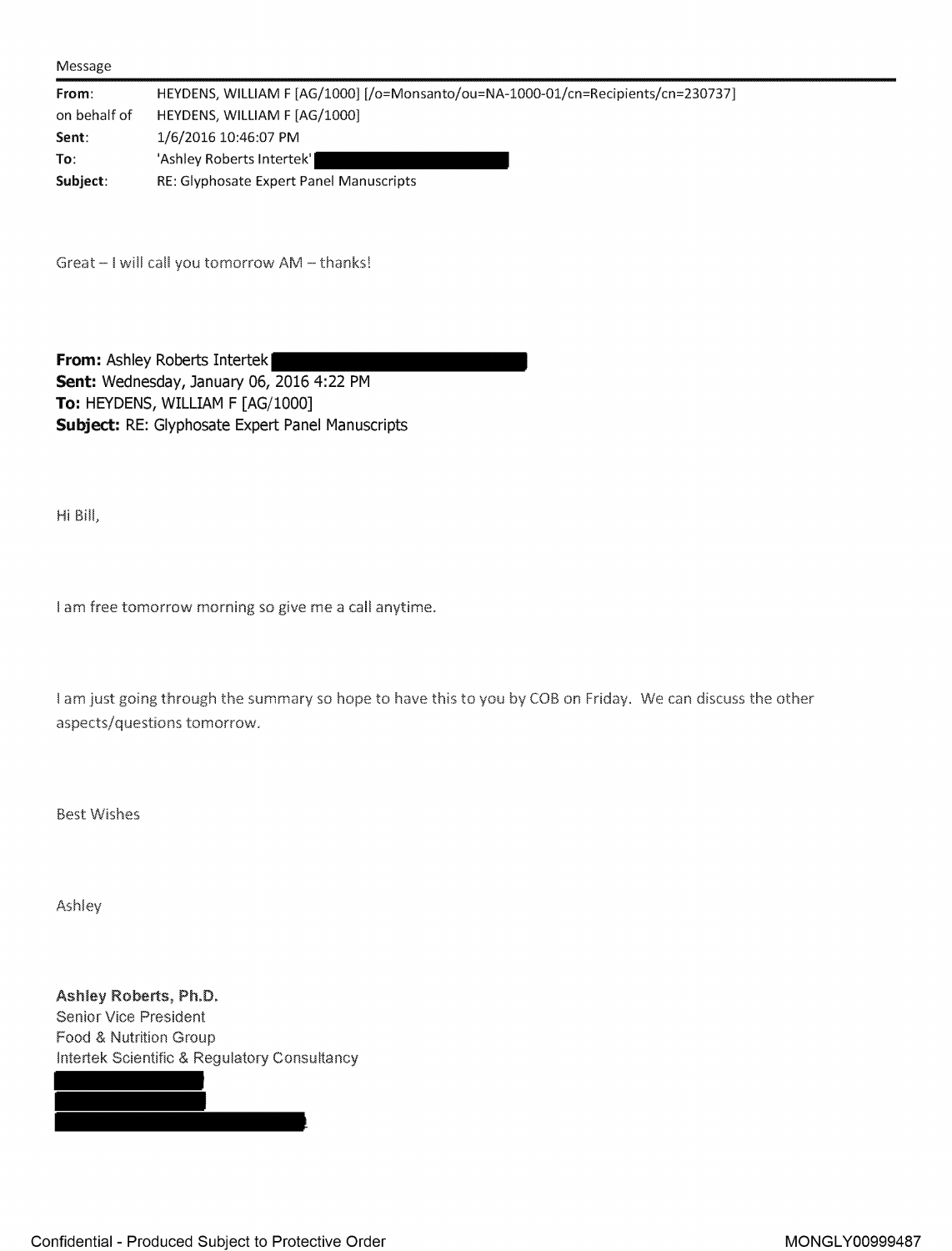| Message |
|---------|
|---------|

| From:        | HEYDENS, WILLIAM F [AG/1000] [/o=Monsanto/ou=NA-1000-01/cn=Recipients/cn=230737] |
|--------------|----------------------------------------------------------------------------------|
| on behalf of | HEYDENS, WILLIAM F [AG/1000]                                                     |
| Sent:        | 1/6/2016 10:46:07 PM                                                             |
| To:          | 'Ashley Roberts Intertek'                                                        |
| Subject:     | RE: Glyphosate Expert Panel Manuscripts                                          |

Great - I will call you tomorrow AM - thanks!

**From: Ashley Roberts Intertek Sent:** Wednesday, January 06, 2016 4:22 PM **To:** HEYDENS, WILLIAM F [AG/1000] **Subject:** RE: [Glyphosate](https://www.baumhedlundlaw.com/toxic-tort-law/monsanto-roundup-lawsuit/) Expert Panel Manuscripts

Hi Bill,

I am free tomorrow morning so give me a call anytime.

I am just going through the summary so hope to have this to you by COB on Friday. We can discuss the other aspects/questions tomorrow.

Best Wishes

Ashley

Ashley Roberts, Ph.D. Senior Vice President Food & Nutrition Group lntertek Scientific & Regulatory Consultancy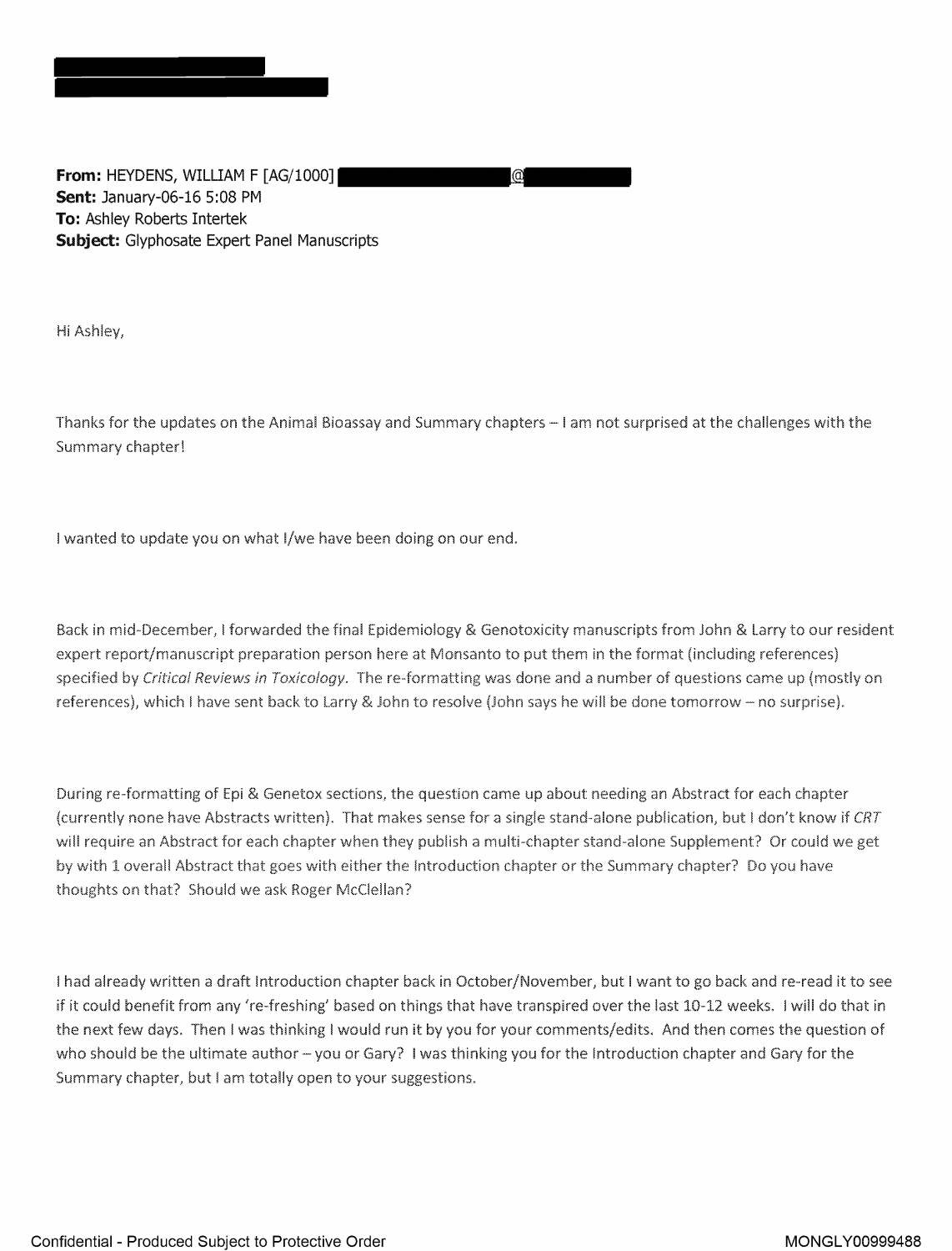**From: HEYDENS, WILLIAM F [AG/1000] Sent: January-06-16 5:08 PM To: Ashley Roberts Intertek Subject: Glyphosate Expert Panel Manuscripts** 

Hi Ashley,

Thanks for the updates on the Animal Bioassay and Summary chapters - I am not surprised at the challenges with the Summary chapter!

(a

I wanted to update you on what I/we have been doing on our end.

Back in mid-December, I forwarded the final Epidemiology & Genotoxicity manuscripts from John & Larry to our resident expert report/manuscript preparation person here at Monsanto to put them in the format (including references) specified by Critical Reviews in Toxicology. The re-formatting was done and a number of questions came up (mostly on references), which I have sent back to Larry & John to resolve (John says he will be done tomorrow - no surprise).

During re-formatting of Epi & Genetox. sections, the question came up about needing an Abstract for each chapter (currently none have Abstracts written). That makes sense for a single stand-alone publication, but I don't know if *CRT* will require an Abstract for each chapter when they publish a multi-chapter stand-alone Supplement? Or could we get by with 1 overall Abstract that goes with either the Introduction chapter or the Summary chapter'? Do you have thoughts on that? Should we ask Roger McClellan?

I had already written a draft Introduction chapter back in October/November, but I want to go back and re--read it to see if it could benefit from any 're-freshing' based on things that have transpired over the last 10-12 weeks. I will do that in the next few days. Then I was thinking I would run it by you for your comments/edits. And then comes the question of who should be the ultimate author - you or Gary? I was thinking you for the Introduction chapter and Gary for the Summary chapter, but I am totally open to your suggestions.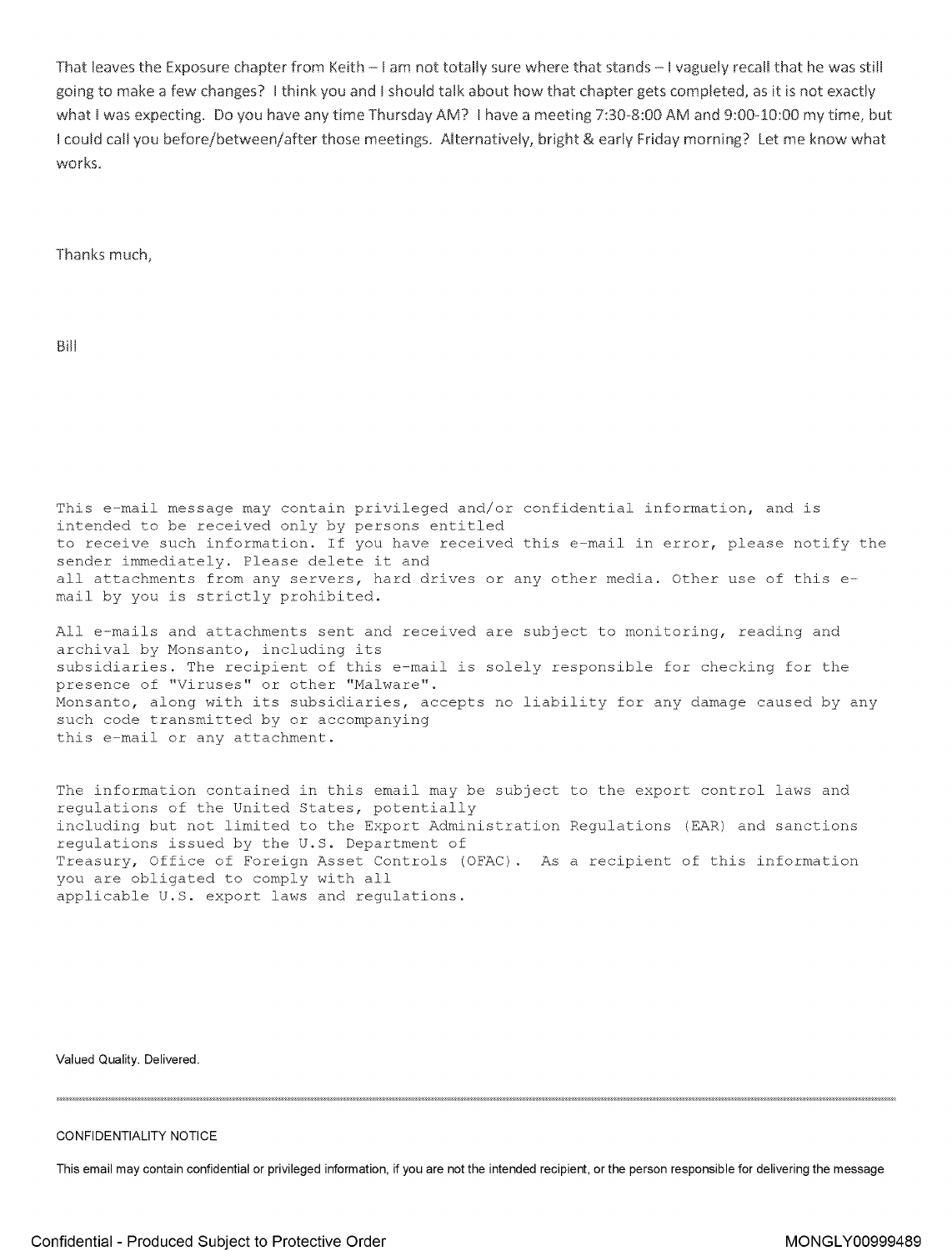That leaves the Exposure chapter from Keith - I am not totally sure where that stands - I vaguely recall that he was still going to make a few changes? I think you and I should talk about how that chapter gets completed, as it is not exactly what I was expecting. Do you have any time Thursday AM? I have a meeting 7:30-8:00 AM and 9:00-10:00 my time, but I could call you before/between/after those meetings. Alternatively, bright & early Friday morning? Let me know what works.

Thanks much,

Bill

This e-mail message may contain privileged and/or confidential information, and is intended to be received only by persons entitled to receive such information. If you have received this e-mail in error, please notify the sender immediately. Please delete it and all attachments from any servers, hard drives or any other media. Other use of this email by you is strictly prohibited.

All e-mails and attachments sent and received are subject to monitoring, reading and archival by Monsanto, including its subsidiaries. The recipient of this e-mail is solely responsible for checking for the presence of "Viruses" or other "Malware". Monsanto, along with its subsidiaries, accepts no liability for any damage caused by any such code transmitted by or accompanying this e-mail or any attachment.

The information contained in this email may be subject to the export control laws and regulations of the United States, potentially .including but not limited to the Export Administration Regulations (EAR) and sanctions regulations issued by the U.S. Department of Treasury, Office of Foreign Asset Controls (OFAC). As a recipient of this information you are obligated to comply with all applicable U.S. export laws and regulations.

**Valued Quality. Delivered.** 

## **CONFIDENTIALITY NOTICE**

**This email may contain confidential or privileged information, if you are not the intended recipient, or the person responsible for delivering the message**